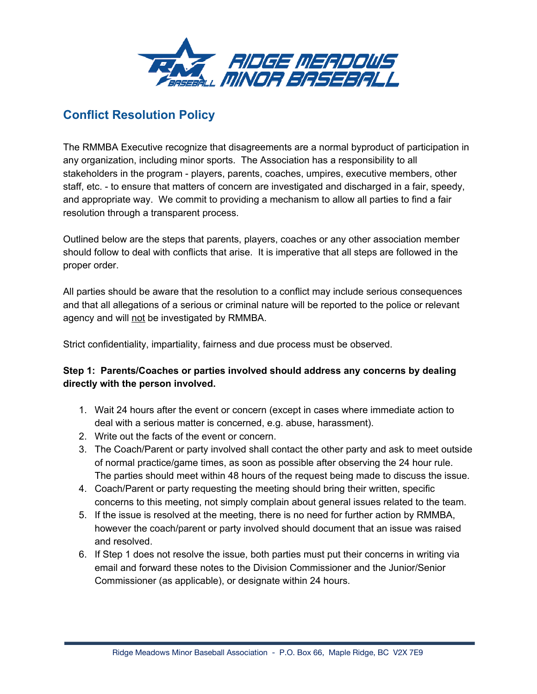

# **Conflict Resolution Policy**

The RMMBA Executive recognize that disagreements are a normal byproduct of participation in any organization, including minor sports. The Association has a responsibility to all stakeholders in the program - players, parents, coaches, umpires, executive members, other staff, etc. - to ensure that matters of concern are investigated and discharged in a fair, speedy, and appropriate way. We commit to providing a mechanism to allow all parties to find a fair resolution through a transparent process.

Outlined below are the steps that parents, players, coaches or any other association member should follow to deal with conflicts that arise. It is imperative that all steps are followed in the proper order.

All parties should be aware that the resolution to a conflict may include serious consequences and that all allegations of a serious or criminal nature will be reported to the police or relevant agency and will not be investigated by RMMBA.

Strict confidentiality, impartiality, fairness and due process must be observed.

## **Step 1: Parents/Coaches or parties involved should address any concerns by dealing directly with the person involved.**

- 1. Wait 24 hours after the event or concern (except in cases where immediate action to deal with a serious matter is concerned, e.g. abuse, harassment).
- 2. Write out the facts of the event or concern.
- 3. The Coach/Parent or party involved shall contact the other party and ask to meet outside of normal practice/game times, as soon as possible after observing the 24 hour rule. The parties should meet within 48 hours of the request being made to discuss the issue.
- 4. Coach/Parent or party requesting the meeting should bring their written, specific concerns to this meeting, not simply complain about general issues related to the team.
- 5. If the issue is resolved at the meeting, there is no need for further action by RMMBA, however the coach/parent or party involved should document that an issue was raised and resolved.
- 6. If Step 1 does not resolve the issue, both parties must put their concerns in writing via email and forward these notes to the Division Commissioner and the Junior/Senior Commissioner (as applicable), or designate within 24 hours.